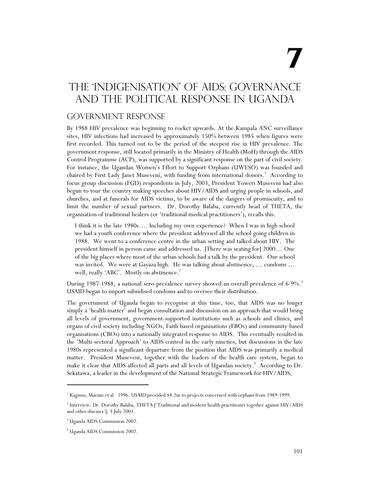# **7**

# The 'indigenisation' of AIDS: Governance and the Political Response in Uganda

#### Government Response

By 1988 HIV prevalence was beginning to rocket upwards. At the Kampala ANC surveillance sites, HIV infections had increased by approximately 150% between 1985 when figures were first recorded. This turned out to be the period of the steepest rise in HIV prevalence. The government response, still located primarily in the Ministry of Health (MoH) through the AIDS Control Programme (ACP), was supported by a significant response on the part of civil society. For instance, the Ugandan Women's Effort to Support Orphans (UWESO) was founded and chaired by First Lady Janet Museveni, with funding from international donors.<sup>1</sup> According to focus group discussion (FGD) respondents in July, 2003, President Yoweri Museveni had also begun to tour the country making speeches about HIV/AIDS and urging people in schools, and churches, and at funerals for AIDS victims, to be aware of the dangers of promiscuity, and to limit the number of sexual partners. Dr. Dorothy Balaba, currently head of THETA, the organisation of traditional healers (or 'traditional medical practitioners'), recalls this.

I think it is the late 1980s…. Including my own experience? When I was in high school we had a youth conference where the president addressed all the school going children in 1988. We went to a conference centre in the urban setting and talked about HIV. The president himself in person came and addressed us. [There was seating for] 2000… One of the big places where most of the urban schools had a talk by the president. Our school was invited. We were at Gayaza high. He was talking about abstinence, … condoms … well, really 'ABC'. Mostly on abstinence.<sup>2</sup>

During 1987-1988, a national sero-prevalence survey showed an overall prevalence of 6-9%.<sup>3</sup> USAID began to import subsidised condoms and to oversee their distribution.

The government of Uganda began to recognise at this time, too, that AIDS was no longer simply a 'health matter' and began consultation and discussion on an approach that would bring all levels of government, government-supported institutions such as schools and clinics, and organs of civil society including NGOs, Faith based organisations (FBOs) and community-based organisations (CBOs) into a nationally integrated response to AIDS. This eventually resulted in the 'Multi-sectoral Approach' to AIDS control in the early nineties, but discussions in the late 1980s represented a significant departure from the position that AIDS was primarily a medical matter. President Museveni, together with the leaders of the health care system, began to make it clear that AIDS affected all parts and all levels of Ugandan society.<sup>4</sup> According to Dr. Sekatawa, a leader in the development of the National Strategic Framework for HIV/AIDS,

<sup>&</sup>lt;sup>1</sup> Kagimu, Marum et al. 1996. USAID provided \$4.2m to projects concerned with orphans from 1989-1999.

<sup>2</sup> Interview: Dr. Dorothy Balaba, THETA ['Traditional and modern health practitionrs together against HIV/AIDS and other diseases']; 3 July 2003.

<sup>3</sup> Uganda AIDS Commission 2002.

<sup>4</sup> Uganda AIDS Commission 2002.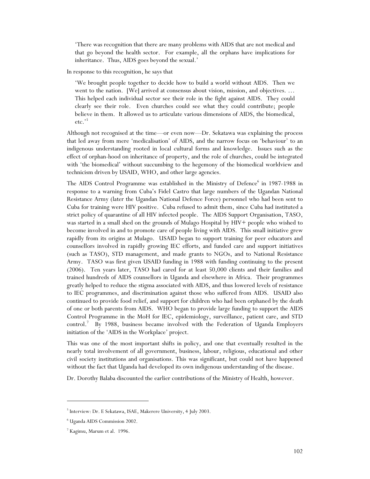'There was recognition that there are many problems with AIDS that are not medical and that go beyond the health sector. For example, all the orphans have implications for inheritance. Thus, AIDS goes beyond the sexual.'

In response to this recognition, he says that

'We brought people together to decide how to build a world without AIDS. Then we went to the nation. [We] arrived at consensus about vision, mission, and objectives. ... This helped each individual sector see their role in the fight against AIDS. They could clearly see their role. Even churches could see what they could contribute; people believe in them. It allowed us to articulate various dimensions of AIDS, the biomedical, etc.'<sup>5</sup>

Although not recognised at the time—or even now—Dr. Sekatawa was explaining the process that led away from mere 'medicalisation' of AIDS, and the narrow focus on 'behaviour' to an indigenous understanding rooted in local cultural forms and knowledge. Issues such as the effect of orphan-hood on inheritance of property, and the role of churches, could be integrated with 'the biomedical' without succumbing to the hegemony of the biomedical worldview and technicism driven by USAID, WHO, and other large agencies.

The AIDS Control Programme was established in the Ministry of Defence<sup>6</sup> in 1987-1988 in response to a warning from Cuba's Fidel Castro that large numbers of the Ugandan National Resistance Army (later the Ugandan National Defence Force) personnel who had been sent to Cuba for training were HIV positive. Cuba refused to admit them, since Cuba had instituted a strict policy of quarantine of all HIV infected people. The AIDS Support Organisation, TASO, was started in a small shed on the grounds of Mulago Hospital by HIV+ people who wished to become involved in and to promote care of people living with AIDS. This small initiative grew rapidly from its origins at Mulago. USAID began to support training for peer educators and counsellors involved in rapidly growing IEC efforts, and funded care and support initiatives (such as TASO), STD management, and made grants to NGOs, and to National Resistance Army. TASO was first given USAID funding in 1988 with funding continuing to the present (2006). Ten years later, TASO had cared for at least 50,000 clients and their families and trained hundreds of AIDS counsellors in Uganda and elsewhere in Africa. Their programmes greatly helped to reduce the stigma associated with AIDS, and thus lowered levels of resistance to IEC programmes, and discrimination against those who suffered from AIDS. USAID also continued to provide food relief, and support for children who had been orphaned by the death of one or both parents from AIDS. WHO began to provide large funding to support the AIDS Control Programme in the MoH for IEC, epidemiology, surveillance, patient care, and STD control.<sup>7</sup> By 1988, business became involved with the Federation of Uganda Employers initiation of the 'AIDS in the Workplace' project.

This was one of the most important shifts in policy, and one that eventually resulted in the nearly total involvement of all government, business, labour, religious, educational and other civil society institutions and organisations. This was significant, but could not have happened without the fact that Uganda had developed its own indigenous understanding of the disease.

Dr. Dorothy Balaba discounted the earlier contributions of the Ministry of Health, however.

<sup>&</sup>lt;sup>5</sup> Interview: Dr. E Sekatawa, ISAE, Makerere University, 4 July 2003.

<sup>6</sup> Uganda AIDS Commission 2002.

<sup>7</sup> Kagimu, Marum et al. 1996.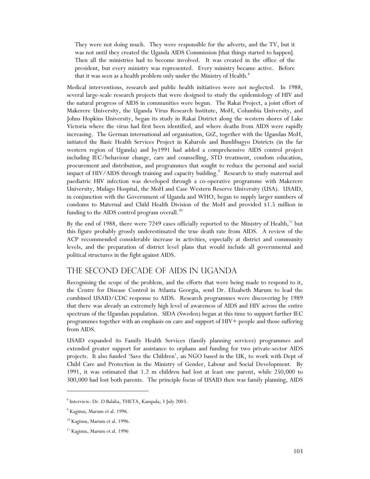They were not doing much. They were responsible for the adverts, and the TV, but it was not until they created the Uganda AIDS Commission [that things started to happen]. Then all the ministries had to become involved. It was created in the office of the president, but every ministry was represented. Every ministry became active. Before that it was seen as a health problem only under the Ministry of Health.<sup>8</sup>

Medical interventions, research and public health initiatives were not neglected. In 1988, several large-scale research projects that were designed to study the epidemiology of HIV and the natural progress of AIDS in communities were begun. The Rakai Project, a joint effort of Makerere University, the Uganda Virus Research Institute, MoH, Columbia University, and Johns Hopkins University, began its study in Rakai District along the western shores of Lake Victoria where the virus had first been identified, and where deaths from AIDS were rapidly increasing. The German international aid organisation, GtZ, together with the Ugandan MoH, initiated the Basic Health Services Project in Kabarole and Bundibugyo Districts (in the far western region of Uganda) and by1991 had added a comprehensive AIDS control project including IEC/behaviour change, care and counselling, STD treatment, condom education, procurement and distribution, and programmes that sought to reduce the personal and social impact of HIV/AIDS through training and capacity building.<sup>9</sup> Research to study maternal and paediatric HIV infection was developed through a co-operative programme with Makerere University, Mulago Hospital, the MoH and Case Western Reserve University (USA). USAID, in conjunction with the Government of Uganda and WHO, began to supply larger numbers of condoms to Maternal and Child Health Division of the MoH and provided \$1.5 million in funding to the AIDS control program overall. $^{10}$ 

By the end of 1988, there were 7249 cases officially reported to the Ministry of Health,<sup>11</sup> but this figure probably grossly underestimated the true death rate from AIDS. A review of the ACP recommended considerable increase in activities, especially at district and community levels, and the preparation of district level plans that would include all governmental and political structures in the fight against AIDS.

#### The second decade of AIDS in Uganda

Recognising the scope of the problem, and the efforts that were being made to respond to it, the Centre for Disease Control in Atlanta Georgia, send Dr. Elizabeth Marum to lead the combined USAID/CDC response to AIDS. Research programmes were discovering by 1989 that there was already an extremely high level of awareness of AIDS and HIV across the entire spectrum of the Ugandan population. SIDA (Sweden) began at this time to support further IEC programmes together with an emphasis on care and support of HIV+ people and those suffering from AIDS.

USAID expanded its Family Health Services (family planning services) programmes and extended greater support for assistance to orphans and funding for two private-sector AIDS projects. It also funded 'Save the Children', an NGO based in the UK, to work with Dept of Child Care and Protection in the Ministry of Gender, Labour and Social Development. By 1991, it was estimated that 1.2 m children had lost at least one parent, while 250,000 to 300,000 had lost both parents. The principle focus of USAID then was family planning, AIDS

<sup>8</sup> Interview: Dr. D Balaba, THETA, Kampala; 3 July 2003.

<sup>&</sup>lt;sup>9</sup> Kagimu, Marum et al. 1996.

<sup>&</sup>lt;sup>10</sup> Kagimu, Marum et al. 1996.

 $11$  Kagimu, Marum et al. 1996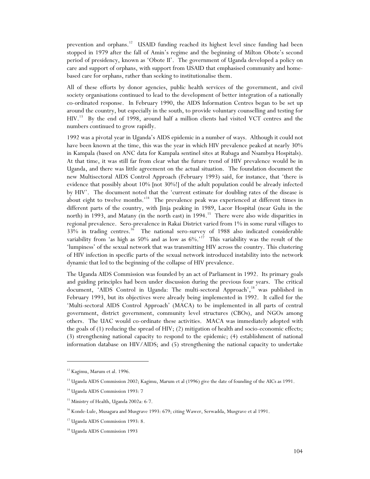prevention and orphans.<sup>12</sup> USAID funding reached its highest level since funding had been stopped in 1979 after the fall of Amin's regime and the beginning of Milton Obote's second period of presidency, known as 'Obote II'. The government of Uganda developed a policy on care and support of orphans, with support from USAID that emphasised community and homebased care for orphans, rather than seeking to institutionalise them.

All of these efforts by donor agencies, public health services of the government, and civil society organisations continued to lead to the development of better integration of a nationally co-ordinated response. In February 1990, the AIDS Information Centres began to be set up around the country, but especially in the south, to provide voluntary counselling and testing for HIV.<sup>13</sup> By the end of 1998, around half a million clients had visited VCT centres and the numbers continued to grow rapidly.

1992 was a pivotal year in Uganda's AIDS epidemic in a number of ways. Although it could not have been known at the time, this was the year in which HIV prevalence peaked at nearly 30% in Kampala (based on ANC data for Kampala sentinel sites at Rubaga and Nsambya Hospitals). At that time, it was still far from clear what the future trend of HIV prevalence would be in Uganda, and there was little agreement on the actual situation. The foundation document the new Multisectoral AIDS Control Approach (February 1993) said, for instance, that 'there is evidence that possibly about 10% [not 30%!] of the adult population could be already infected by HIV'. The document noted that the 'current estimate for doubling rates of the disease is about eight to twelve months.'<sup>14</sup> The prevalence peak was experienced at different times in different parts of the country, with Jinja peaking in 1989, Lacor Hospital (near Gulu in the north) in 1993, and Matany (in the north east) in 1994.<sup>15</sup> There were also wide disparities in regional prevalence. Sero-prevalence in Rakai District varied from 1% in some rural villages to 33% in trading centres.<sup>16</sup> The national sero-survey of 1988 also indicated considerable variability from 'as high as 50% and as low as  $6\%$ .'<sup>17</sup> This variability was the result of the 'lumpiness' of the sexual network that was transmitting HIV across the country. This clustering of HIV infection in specific parts of the sexual network introduced instability into the network dynamic that led to the beginning of the collapse of HIV prevalence.

The Uganda AIDS Commission was founded by an act of Parliament in 1992. Its primary goals and guiding principles had been under discussion during the previous four years. The critical document, 'AIDS Control in Uganda: The multi-sectoral Approach',<sup>18</sup> was published in February 1993, but its objectives were already being implemented in 1992. It called for the 'Multi-sectoral AIDS Control Approach' (MACA) to be implemented in all parts of central government, district government, community level structures (CBOs), and NGOs among others. The UAC would co-ordinate these activities. MACA was immediately adopted with the goals of (1) reducing the spread of HIV; (2) mitigation of health and socio-economic effects; (3) strengthening national capacity to respond to the epidemic; (4) establishment of national information database on HIV/AIDS; and (5) strengthening the national capacity to undertake

<sup>&</sup>lt;sup>12</sup> Kagimu, Marum et al. 1996.

<sup>&</sup>lt;sup>13</sup> Uganda AIDS Commission 2002; Kagimu, Marum et al (1996) give the date of founding of the AICs as 1991.

<sup>&</sup>lt;sup>14</sup> Uganda AIDS Commission 1993: 7

<sup>&</sup>lt;sup>15</sup> Ministry of Health, Uganda 2002a: 6-7.

<sup>&</sup>lt;sup>16</sup> Konde-Lule, Musagara and Musgrave 1993: 679; citing Wawer, Serwadda, Musgrave et al 1991.

<sup>&</sup>lt;sup>17</sup> Uganda AIDS Commission 1993: 8.

<sup>18</sup> Uganda AIDS Commission 1993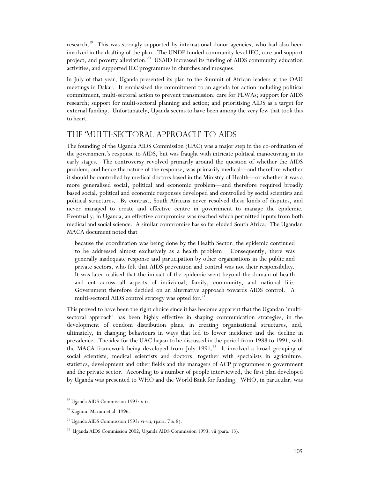research.<sup>19</sup> This was strongly supported by international donor agencies, who had also been involved in the drafting of the plan. The UNDP funded community level IEC, care and support project, and poverty alleviation.<sup>20</sup> USAID increased its funding of AIDS community education activities, and supported IEC programmes in churches and mosques.

In July of that year, Uganda presented its plan to the Summit of African leaders at the OAU meetings in Dakar. It emphasised the commitment to an agenda for action including political commitment, multi-sectoral action to prevent transmission; care for PLWAs; support for AIDS research; support for multi-sectoral planning and action; and prioritising AIDS as a target for external funding. Unfortunately, Uganda seems to have been among the very few that took this to heart.

### The 'Multi-Sectoral Approach' to AIDS

The founding of the Uganda AIDS Commission (UAC) was a major step in the co-ordination of the government's response to AIDS, but was fraught with intricate political manoeuvring in its early stages. The controversy revolved primarily around the question of whether the AIDS problem, and hence the nature of the response, was primarily medical—and therefore whether it should be controlled by medical doctors based in the Ministry of Health—or whether it was a more generalised social, political and economic problem—and therefore required broadly based social, political and economic responses developed and controlled by social scientists and political structures. By contrast, South Africans never resolved these kinds of disputes, and never managed to create and effective centre in government to manage the epidemic. Eventually, in Uganda, an effective compromise was reached which permitted inputs from both medical and social science. A similar compromise has so far eluded South Africa. The Ugandan MACA document noted that

because the coordination was being done by the Health Sector, the epidemic continued to be addressed almost exclusively as a health problem. Consequently, there was generally inadequate response and participation by other organisations in the public and private sectors, who felt that AIDS prevention and control was not their responsibility. It was later realised that the impact of the epidemic went beyond the domain of health and cut across all aspects of individual, family, community, and national life. Government therefore decided on an alternative approach towards AIDS control. A multi-sectoral AIDS control strategy was opted for.<sup>21</sup>

This proved to have been the right choice since it has become apparent that the Ugandan 'multisectoral approach' has been highly effective in shaping communication strategies, in the development of condom distribution plans, in creating organisational structures, and, ultimately, in changing behaviours in ways that led to lower incidence and the decline in prevalence. The idea for the UAC began to be discussed in the period from 1988 to 1991, with the MACA framework being developed from July 1991.<sup>22</sup> It involved a broad grouping of social scientists, medical scientists and doctors, together with specialists in agriculture, statistics, development and other fields and the managers of ACP programmes in government and the private sector. According to a number of people interviewed, the first plan developed by Uganda was presented to WHO and the World Bank for funding. WHO, in particular, was

<sup>19</sup> Uganda AIDS Commission 1993: x-ix.

<sup>&</sup>lt;sup>20</sup> Kagimu, Marum et al. 1996.

<sup>&</sup>lt;sup>21</sup> Uganda AIDS Commission 1993: vi-vii, (para. 7 & 8).

<sup>&</sup>lt;sup>22</sup> Uganda AIDS Commission 2002; Uganda AIDS Commission 1993: vii (para. 13).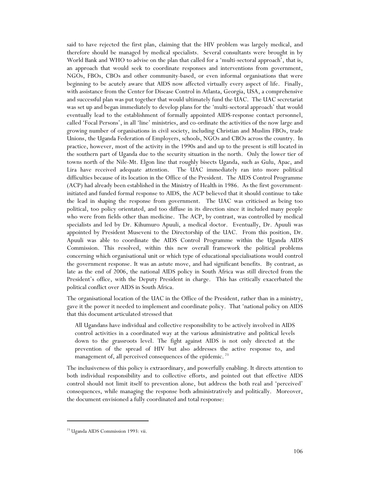said to have rejected the first plan, claiming that the HIV problem was largely medical, and therefore should be managed by medical specialists. Several consultants were brought in by World Bank and WHO to advise on the plan that called for a 'multi-sectoral approach', that is, an approach that would seek to coordinate responses and interventions from government, NGOs, FBOs, CBOs and other community-based, or even informal organisations that were beginning to be acutely aware that AIDS now affected virtually every aspect of life. Finally, with assistance from the Center for Disease Control in Atlanta, Georgia, USA, a comprehensive and successful plan was put together that would ultimately fund the UAC. The UAC secretariat was set up and began immediately to develop plans for the 'multi-sectoral approach' that would eventually lead to the establishment of formally appointed AIDS-response contact personnel, called 'Focal Persons', in all 'line' ministries, and co-ordinate the activities of the now large and growing number of organisations in civil society, including Christian and Muslim FBOs, trade Unions, the Uganda Federation of Employers, schools, NGOs and CBOs across the country. In practice, however, most of the activity in the 1990s and and up to the present is still located in the southern part of Uganda due to the security situation in the north. Only the lower tier of towns north of the Nile-Mt. Elgon line that roughly bisects Uganda, such as Gulu, Apac, and Lira have received adequate attention. The UAC immediately ran into more political difficulties because of its location in the Office of the President. The AIDS Control Programme (ACP) had already been established in the Ministry of Health in 1986. As the first governmentinitiated and funded formal response to AIDS, the ACP believed that it should continue to take the lead in shaping the response from government. The UAC was criticised as being too political, too policy orientated, and too diffuse in its direction since it included many people who were from fields other than medicine. The ACP, by contrast, was controlled by medical specialists and led by Dr. Kihumuro Apuuli, a medical doctor. Eventually, Dr. Apuuli was appointed by President Museveni to the Directorship of the UAC. From this position, Dr. Apuuli was able to coordinate the AIDS Control Programme within the Uganda AIDS Commission. This resolved, within this new overall framework the political problems concerning which organisational unit or which type of educational specialisations would control the government response. It was an astute move, and had significant benefits. By contrast, as late as the end of 2006, the national AIDS policy in South Africa was still directed from the President's office, with the Deputy President in charge. This has critically exacerbated the political conflict over AIDS in South Africa.

The organisational location of the UAC in the Office of the President, rather than in a ministry, gave it the power it needed to implement and coordinate policy. That 'national policy on AIDS that this document articulated stressed that

All Ugandans have individual and collective responsibility to be actively involved in AIDS control activities in a coordinated way at the various administrative and political levels down to the grassroots level. The fight against AIDS is not only directed at the prevention of the spread of HIV but also addresses the active response to, and management of, all perceived consequences of the epidemic.<sup>23</sup>

The inclusiveness of this policy is extraordinary, and powerfully enabling. It directs attention to both individual responsibility and to collective efforts, and pointed out that effective AIDS control should not limit itself to prevention alone, but address the both real and 'perceived' consequences, while managing the response both administratively and politically. Moreover, the document envisioned a fully coordinated and total response:

<sup>&</sup>lt;sup>23</sup> Uganda AIDS Commission 1993: vii.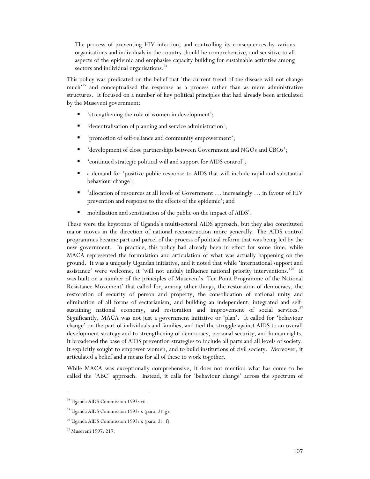The process of preventing HIV infection, and controlling its consequences by various organisations and individuals in the country should be comprehensive, and sensitive to all aspects of the epidemic and emphasise capacity building for sustainable activities among sectors and individual organisations.<sup>24</sup>

This policy was predicated on the belief that 'the current trend of the disease will not change much<sup>25</sup> and conceptualised the response as a process rather than as mere administrative structures. It focused on a number of key political principles that had already been articulated by the Museveni government:

- 'strengthening the role of women in development';
- 'decentralisation of planning and service administration';
- 'promotion of self-reliance and community empowerment';
- 'development of close partnerships between Government and NGOs and CBOs';
- 'continued strategic political will and support for AIDS control';
- a demand for 'positive public response to AIDS that will include rapid and substantial behaviour change';
- 'allocation of resources at all levels of Government ... increasingly ... in favour of HIV prevention and response to the effects of the epidemic'; and
- mobilisation and sensitisation of the public on the impact of AIDS'.

These were the keystones of Uganda's multisectoral AIDS approach, but they also constituted major moves in the direction of national reconstruction more generally. The AIDS control programmes became part and parcel of the process of political reform that was being led by the new government. In practice, this policy had already been in effect for some time, while MACA represented the formulation and articulation of what was actually happening on the ground. It was a uniquely Ugandan initiative, and it noted that while 'international support and assistance' were welcome, it 'will not unduly influence national priority interventions.'<sup>26</sup> It was built on a number of the principles of Museveni's 'Ten Point Programme of the National Resistance Movement' that called for, among other things, the restoration of democracy, the restoration of security of person and property, the consolidation of national unity and elimination of all forms of sectarianism, and building an independent, integrated and selfsustaining national economy, and restoration and improvement of social services.<sup>27</sup> Significantly, MACA was not just a government initiative or 'plan'. It called for 'behaviour change' on the part of individuals and families, and tied the struggle against AIDS to an overall development strategy and to strengthening of democracy, personal security, and human rights. It broadened the base of AIDS prevention strategies to include all parts and all levels of society. It explicitly sought to empower women, and to build institutions of civil society. Moreover, it articulated a belief and a means for all of these to work together.

While MACA was exceptionally comprehensive, it does not mention what has come to be called the 'ABC' approach. Instead, it calls for 'behaviour change' across the spectrum of

<sup>24</sup> Uganda AIDS Commission 1993: vii.

<sup>&</sup>lt;sup>25</sup> Uganda AIDS Commission 1993: x (para. 21.g).

 $26$  Uganda AIDS Commission 1993: x (para. 21. f).

<sup>27</sup> Museveni 1997: 217.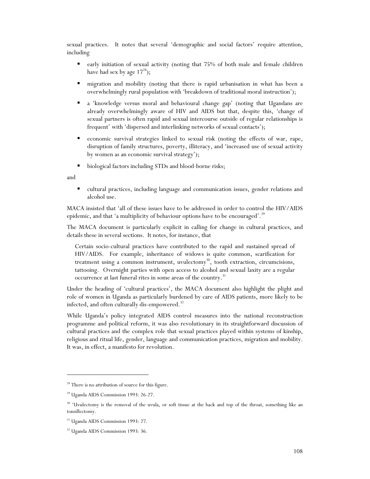sexual practices. It notes that several 'demographic and social factors' require attention, including

- early initiation of sexual activity (noting that 75% of both male and female children have had sex by age  $17^{28}$ ;
- migration and mobility (noting that there is rapid urbanisation in what has been a overwhelmingly rural population with 'breakdown of traditional moral instruction');
- a 'knowledge versus moral and behavioural change gap' (noting that Ugandans are already overwhelmingly aware of HIV and AIDS but that, despite this, 'change of sexual partners is often rapid and sexual intercourse outside of regular relationships is frequent' with 'dispersed and interlinking networks of sexual contacts');
- economic survival strategies linked to sexual risk (noting the effects of war, rape, disruption of family structures, poverty, illiteracy, and 'increased use of sexual activity by women as an economic survival strategy');
- biological factors including STDs and blood-borne risks;

and

 $\overline{a}$ 

 cultural practices, including language and communication issues, gender relations and alcohol use.

MACA insisted that 'all of these issues have to be addressed in order to control the HIV/AIDS epidemic, and that 'a multiplicity of behaviour options have to be encouraged'.<sup>29</sup>

The MACA document is particularly explicit in calling for change in cultural practices, and details these in several sections. It notes, for instance, that

Certain socio-cultural practices have contributed to the rapid and sustained spread of HIV/AIDS. For example, inheritance of widows is quite common, scarification for treatment using a common instrument, uvulectomy<sup>30</sup>, tooth extraction, circumcisions, tattooing. Overnight parties with open access to alcohol and sexual laxity are a regular occurrence at last funeral rites in some areas of the country.<sup>31</sup>

Under the heading of 'cultural practices', the MACA document also highlight the plight and role of women in Uganda as particularly burdened by care of AIDS patients, more likely to be infected, and often culturally dis-empowered.<sup>32</sup>

While Uganda's policy integrated AIDS control measures into the national reconstruction programme and political reform, it was also revolutionary in its straightforward discussion of cultural practices and the complex role that sexual practices played within systems of kinship, religious and ritual life, gender, language and communication practices, migration and mobility. It was, in effect, a manifesto for revolution.

<sup>&</sup>lt;sup>28</sup> There is no attribution of source for this figure.

<sup>29</sup> Uganda AIDS Commission 1993: 26-27.

<sup>&</sup>lt;sup>30</sup> 'Uvulectomy is the removal of the uvula, or soft tissue at the back and top of the throat, something like an tonsillectomy.

<sup>&</sup>lt;sup>31</sup> Uganda AIDS Commission 1993: 27.

<sup>&</sup>lt;sup>32</sup> Uganda AIDS Commission 1993: 36.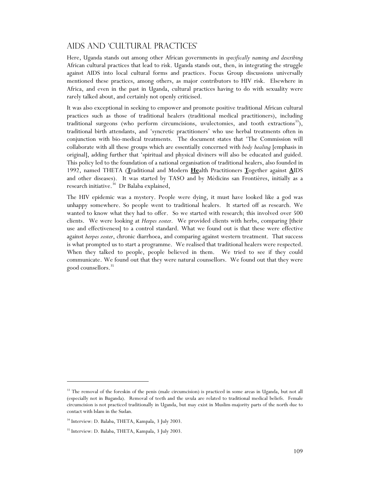## AIDS and 'Cultural Practices'

Here, Uganda stands out among other African governments in *specifically naming and describing*  African cultural practices that lead to risk. Uganda stands out, then, in integrating the struggle against AIDS into local cultural forms and practices. Focus Group discussions universally mentioned these practices, among others, as major contributors to HIV risk. Elsewhere in Africa, and even in the past in Uganda, cultural practices having to do with sexuality were rarely talked about, and certainly not openly criticised.

It was also exceptional in seeking to empower and promote positive traditional African cultural practices such as those of traditional healers (traditional medical practitioners), including traditional surgeons (who perform circumcisions, uvulectomies, and tooth extractions $^{33}$ ), traditional birth attendants, and 'syncretic practitioners' who use herbal treatments often in conjunction with bio-medical treatments. The document states that 'The Commission will collaborate with all these groups which are essentially concerned with *body healing* [emphasis in original], adding further that 'spiritual and physical diviners will also be educated and guided. This policy led to the foundation of a national organisation of traditional healers, also founded in 1992, named THETA (**T**raditional and Modern **He**alth Practitioners **T**ogether against **A**IDS and other diseases). It was started by TASO and by Médicins san Frontières, initially as a research initiative.<sup>34</sup> Dr Balaba explained,

The HIV epidemic was a mystery. People were dying, it must have looked like a god was unhappy somewhere. So people went to traditional healers. It started off as research. We wanted to know what they had to offer. So we started with research; this involved over 500 clients. We were looking at *Herpes zoster*. We provided clients with herbs, comparing [their use and effectiveness] to a control standard. What we found out is that these were effective against *herpes zoster*, chronic diarrhoea, and comparing against western treatment. That success is what prompted us to start a programme. We realised that traditional healers were respected. When they talked to people, people believed in them. We tried to see if they could communicate. We found out that they were natural counsellors. We found out that they were good counsellors.<sup>35</sup>

<sup>&</sup>lt;sup>33</sup> The removal of the foreskin of the penis (male circumcision) is practiced in some areas in Uganda, but not all (especially not in Buganda). Removal of teeth and the uvula are related to traditional medical beliefs. Female circumcision is not practiced traditionally in Uganda, but may exist in Muslim-majority parts of the north due to contact with Islam in the Sudan.

<sup>&</sup>lt;sup>34</sup> Interview: D. Balaba, THETA, Kampala, 3 July 2003.

<sup>35</sup> Interview: D. Balaba, THETA, Kampala, 3 July 2003.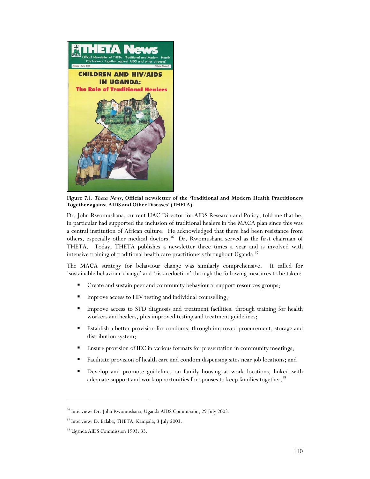

**Figure 7.1.** *Theta News***, Official newsletter of the 'Traditional and Modern Health Practitioners Together against AIDS and Other Diseases' (THETA).** 

Dr. John Rwomushana, current UAC Director for AIDS Research and Policy, told me that he, in particular had supported the inclusion of traditional healers in the MACA plan since this was a central institution of African culture. He acknowledged that there had been resistance from others, especially other medical doctors.<sup>36</sup> Dr. Rwomushana served as the first chairman of THETA. Today, THETA publishes a newsletter three times a year and is involved with intensive training of traditional health care practitioners throughout Uganda.<sup>37</sup>

The MACA strategy for behaviour change was similarly comprehensive. It called for 'sustainable behaviour change' and 'risk reduction' through the following measures to be taken:

- **Create and sustain peer and community behavioural support resources groups;**
- Improve access to HIV testing and individual counselling;
- Improve access to STD diagnosis and treatment facilities, through training for health workers and healers, plus improved testing and treatment guidelines;
- Establish a better provision for condoms, through improved procurement, storage and distribution system;
- **Ensure provision of IEC in various formats for presentation in community meetings;**
- Facilitate provision of health care and condom dispensing sites near job locations; and
- Develop and promote guidelines on family housing at work locations, linked with adequate support and work opportunities for spouses to keep families together.<sup>38</sup>

<sup>36</sup> Interview: Dr. John Rwomushana, Uganda AIDS Commission, 29 July 2003.

<sup>37</sup> Interview: D. Balaba, THETA, Kampala, 3 July 2003.

<sup>38</sup> Uganda AIDS Commission 1993: 33.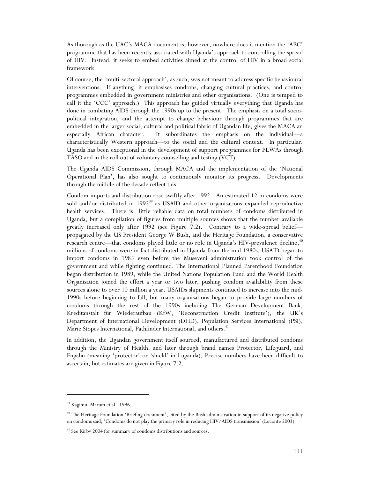As thorough as the UAC's MACA document is, however, nowhere does it mention the 'ABC' programme that has been recently associated with Uganda's approach to controlling the spread of HIV. Instead, it seeks to embed activities aimed at the control of HIV in a broad social framework.

Of course, the 'multi-sectoral approach', as such, was not meant to address specific behavioural interventions. If anything, it emphasises condoms, changing cultural practices, and control programmes embedded in government ministries and other organisations. (One is temped to call it the 'CCC' approach.) This approach has guided virtually everything that Uganda has done in combating AIDS through the 1990s up to the present. The emphasis on a total sociopolitical integration, and the attempt to change behaviour through programmes that are embedded in the larger social, cultural and political fabric of Ugandan life, gives the MACA an especially African character. It subordinates the emphasis on the individual—a characteristically Western approach—to the social and the cultural context. In particular, Uganda has been exceptional in the development of support programmes for PLWAs through TASO and in the roll out of voluntary counselling and testing (VCT).

The Uganda AIDS Commission, through MACA and the implementation of the 'National Operational Plan', has also sought to continuously monitor its progress. Developments through the middle of the decade reflect this.

Condom imports and distribution rose swiftly after 1992. An estimated 12 m condoms were sold and/or distributed in  $1993^{39}$  as USAID and other organisations expanded reproductive health services. There is little reliable data on total numbers of condoms distributed in Uganda, but a compilation of figures from multiple sources shows that the number available greatly increased only after 1992 (see Figure 7.2). Contrary to a wide-spread belief propagated by the US President George W Bush, and the Heritage Foundation, a conservative research centre—that condoms played little or no role in Uganda's HIV-prevalence decline, $*^0$ millions of condoms were in fact distributed in Uganda from the mid-1980s. USAID began to import condoms in 1985 even before the Museveni administration took control of the government and while fighting continued. The International Planned Parenthood Foundation began distribution in 1989, while the United Nations Population Fund and the World Health Organisation joined the effort a year or two later, pushing condom availability from these sources alone to over 10 million a year. USAIDs shipments continued to increase into the mid-1990s before beginning to fall, but many organisations began to provide large numbers of condoms through the rest of the 1990s including The German Development Bank, Kreditanstalt für Wiederaufbau (KfW, 'Reconstruction Credit Institute'), the UK's Department of International Development (DFID), Population Services International (PSI), Marie Stopes International, Pathfinder International, and others.<sup>41</sup>

In addition, the Ugandan government itself sourced, manufactured and distributed condoms through the Ministry of Health, and later through brand names Protector, Lifeguard, and Engabu (meaning 'protector' or 'shield' in Luganda). Precise numbers have been difficult to ascertain, but estimates are given in Figure 7.2.

j

<sup>39</sup> Kagimu, Marum et al. 1996.

<sup>&</sup>lt;sup>40</sup> The Heritage Foundation 'Briefing document', cited by the Bush administration in support of its negative policy on condoms said, 'Condoms do not play the primary role in reducing HIV/AIDS transmission' (Loconte 2003).

<sup>&</sup>lt;sup>41</sup> See Kirby 2004 for summary of condoms distributions and sources.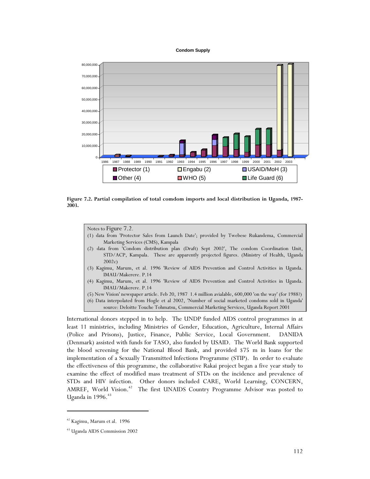



**Figure 7.2. Partial compilation of total comdom imports and local distribution in Uganda, 1987- 2003.** 

Notes to Figure 7.2.

- (1) data from 'Protector Sales from Launch Date'; provided by Twebese Rukandema, Commercial Marketing Services (CMS), Kampala
- (2) data from 'Condom distribution plan (Draft) Sept 2002', The condom Coordination Unit, STD/ACP, Kampala. These are apparently projected figures. (Ministry of Health, Uganda 2002c)
- (3) Kagimu, Marum, et al. 1996 'Review of AIDS Prevention and Control Activities in Uganda. IMAU/Makerere. P.14
- (4) Kagimu, Marum, et al. 1996 'Review of AIDS Prevention and Control Activities in Uganda. IMAU/Makerere. P.14

(5) New Vision' newspaper article. Feb 20, 1987 1.4 million avialable, 600,000 'on the way' (for 1988?) (6) Data interpolated from Hogle et al 2002, 'Number of social marketed condoms sold in Uganda' source: Deloitte Touche Tohmatsu, Commercial Marketing Services, Uganda Report 2001

International donors stepped in to help. The UNDP funded AIDS control programmes in at least 11 ministries, including Ministries of Gender, Education, Agriculture, Internal Affairs (Police and Prisons), Justice, Finance, Public Service, Local Government. DANIDA (Denmark) assisted with funds for TASO, also funded by USAID. The World Bank supported the blood screening for the National Blood Bank, and provided \$75 m in loans for the implementation of a Sexually Transmitted Infections Programme (STIP). In order to evaluate the effectiveness of this programme, the collaborative Rakai project began a five year study to examine the effect of modified mass treatment of STDs on the incidence and prevalence of STDs and HIV infection. Other donors included CARE, World Learning, CONCERN, AMREF, World Vision.<sup>42</sup> The first UNAIDS Country Programme Advisor was posted to Uganda in  $1996.<sup>43</sup>$ 

<sup>42</sup> Kagimu, Marum et al. 1996

<sup>43</sup> Uganda AIDS Commission 2002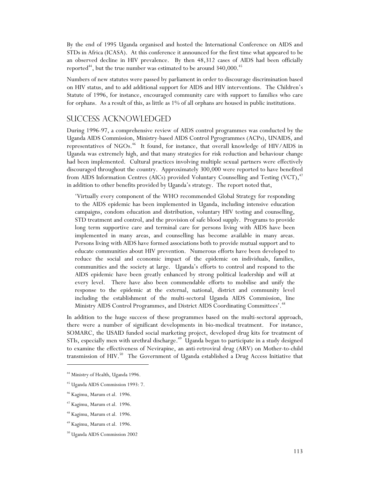By the end of 1995 Uganda organised and hosted the International Conference on AIDS and STDs in Africa (ICASA). At this conference it announced for the first time what appeared to be an observed decline in HIV prevalence. By then 48,312 cases of AIDS had been officially reported<sup> $44$ </sup>, but the true number was estimated to be around  $340,000$ .<sup>45</sup>

Numbers of new statutes were passed by parliament in order to discourage discrimination based on HIV status, and to add additional support for AIDS and HIV interventions. The Children's Statute of 1996, for instance, encouraged community care with support to families who care for orphans. As a result of this, as little as 1% of all orphans are housed in public institutions.

#### Success Acknowledged

During 1996-97, a comprehensive review of AIDS control programmes was conducted by the Uganda AIDS Commission, Ministry-based AIDS Control Pgrogrammes (ACPs), UNAIDS, and representatives of NGOs.<sup>46</sup> It found, for instance, that overall knowledge of HIV/AIDS in Uganda was extremely high, and that many strategies for risk reduction and behaviour change had been implemented. Cultural practices involving multiple sexual partners were effectively discouraged throughout the country. Approximately 300,000 were reported to have benefited from AIDS Information Centres (AICs) provided Voluntary Counselling and Testing  $(VCT)$ ,<sup> $47$ </sup> in addition to other benefits provided by Uganda's strategy. The report noted that,

'Virtually every component of the WHO recommended Global Strategy for responding to the AIDS epidemic has been implemented in Uganda, including intensive education campaigns, condom education and distribution, voluntary HIV testing and counselling, STD treatment and control, and the provision of safe blood supply. Programs to provide long term supportive care and terminal care for persons living with AIDS have been implemented in many areas, and counselling has become available in many areas. Persons living with AIDS have formed associations both to provide mutual support and to educate communities about HIV prevention. Numerous efforts have been developed to reduce the social and economic impact of the epidemic on individuals, families, communities and the society at large. Uganda's efforts to control and respond to the AIDS epidemic have been greatly enhanced by strong political leadership and will at every level. There have also been commendable efforts to mobilise and unify the response to the epidemic at the external, national, district and community level including the establishment of the multi-sectoral Uganda AIDS Commission, line Ministry AIDS Control Programmes, and District AIDS Coordinating Committees'.<sup>48</sup>

In addition to the huge success of these programmes based on the multi-sectoral approach, there were a number of significant developments in bio-medical treatment. For instance, SOMARC, the USAID funded social marketing project, developed drug kits for treatment of STIs, especially men with urethral discharge.<sup>49</sup> Uganda began to participate in a study designed to examine the effectiveness of Nevirapine, an anti-retroviral drug (ARV) on Mother-to-child transmission of HIV.<sup>50</sup> The Government of Uganda established a Drug Access Initiative that

<sup>&</sup>lt;sup>44</sup> Ministry of Health, Uganda 1996.

<sup>45</sup> Uganda AIDS Commission 1993: 7.

<sup>46</sup> Kagimu, Marum et al. 1996.

<sup>47</sup> Kagimu, Marum et al. 1996.

<sup>48</sup> Kagimu, Marum et al. 1996.

<sup>49</sup> Kagimu, Marum et al. 1996.

<sup>50</sup> Uganda AIDS Commission 2002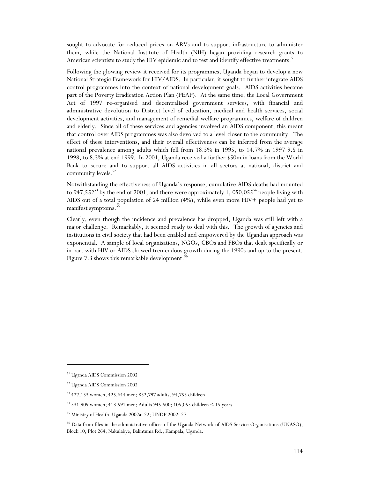sought to advocate for reduced prices on ARVs and to support infrastructure to administer them, while the National Institute of Health (NIH) began providing research grants to American scientists to study the HIV epidemic and to test and identify effective treatments.<sup>51</sup>

Following the glowing review it received for its programmes, Uganda began to develop a new National Strategic Framework for HIV/AIDS. In particular, it sought to further integrate AIDS control programmes into the context of national development goals. AIDS activities became part of the Poverty Eradication Action Plan (PEAP). At the same time, the Local Government Act of 1997 re-organised and decentralised government services, with financial and administrative devolution to District level of education, medical and health services, social development activities, and management of remedial welfare programmes, welfare of children and elderly. Since all of these services and agencies involved an AIDS component, this meant that control over AIDS programmes was also devolved to a level closer to the community. The effect of these interventions, and their overall effectiveness can be inferred from the average national prevalence among adults which fell from 18.5% in 1995, to 14.7% in 1997 9.5 in 1998, to 8.3% at end 1999. In 2001, Uganda received a further \$50m in loans from the World Bank to secure and to support all AIDS activities in all sectors at national, district and community levels.<sup>52</sup>

Notwithstanding the effectiveness of Uganda's response, cumulative AIDS deaths had mounted to 947,552<sup>53</sup> by the end of 2001, and there were approximately 1, 050,055<sup>54</sup> people living with AIDS out of a total population of 24 million (4%), while even more HIV+ people had yet to manifest symptoms.<sup>5</sup>

Clearly, even though the incidence and prevalence has dropped, Uganda was still left with a major challenge. Remarkably, it seemed ready to deal with this. The growth of agencies and institutions in civil society that had been enabled and empowered by the Ugandan approach was exponential. A sample of local organisations, NGOs, CBOs and FBOs that dealt specifically or in part with HIV or AIDS showed tremendous growth during the 1990s and up to the present. Figure 7.3 shows this remarkable development.<sup>5</sup>

<sup>51</sup> Uganda AIDS Commission 2002

<sup>52</sup> Uganda AIDS Commission 2002

<sup>53 427,153</sup> women, 425,644 men; 852,797 adults, 94,755 children

<sup>54 531,909</sup> women; 413,591 men; Adults 945,500; 105,055 children < 15 years.

<sup>55</sup> Ministry of Health, Uganda 2002a: 22; UNDP 2002: 27

<sup>&</sup>lt;sup>56</sup> Data from files in the administrative offices of the Uganda Network of AIDS Service Organisations (UNASO), Block 10, Plot 264, Nakulabye, Balintuma Rd., Kampala, Uganda.